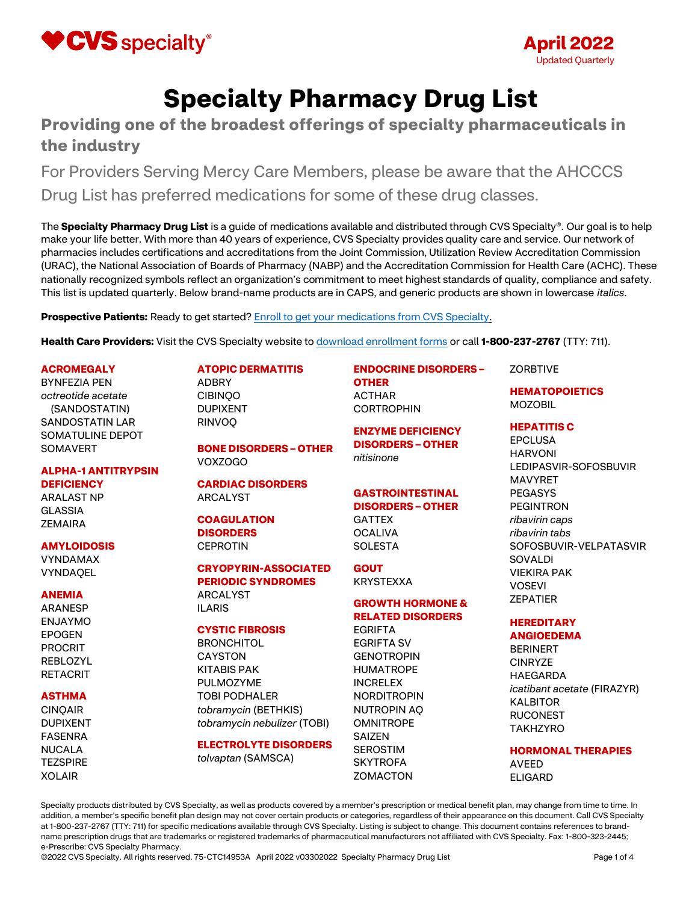



# Specialty Pharmacy Drug List

# Providing one of the broadest offerings of specialty pharmaceuticals in the industry

For Providers Serving Mercy Care Members, please be aware that the AHCCCS Drug List has preferred medications for some of these drug classes.

The Specialty Pharmacy Drug List is a guide of medications available and distributed through CVS Specialty®. Our goal is to help make your life better. With more than 40 years of experience, CVS Specialty provides quality care and service. Our network of pharmacies includes certifications and accreditations from the Joint Commission, Utilization Review Accreditation Commission (URAC), the National Association of Boards of Pharmacy (NABP) and the Accreditation Commission for Health Care (ACHC). These nationally recognized symbols reflect an organization's commitment to meet highest standards of quality, compliance and safety. This list is updated quarterly. Below brand-name products are in CAPS, and generic products are shown in lowercase italics.

**Prospective Patients:** Ready to get started? Enroll to get your medications from CVS Specialty.

Health Care Providers: Visit the CVS Specialty website to **download enrollment forms** or call 1-800-237-2767 (TTY: 711).

#### **ACROMEGALY**

BYNFEZIA PEN octreotide acetate (SANDOSTATIN) SANDOSTATIN LAR SOMATULINE DEPOT **SOMAVERT** 

## ALPHA-1 ANTITRYPSIN **DEFICIENCY**

ARALAST NP GLASSIA **ZEMAIRA** 

#### AMYLOIDOSIS

VYNDAMAX **VYNDAOEL** 

#### ANEMIA

ARANESP ENJAYMO EPOGEN PROCRIT REBLOZYL RETACRIT

#### ASTHMA

CINQAIR DUPIXENT FASENRA NUCALA **TEZSPIRE** XOLAIR

# ATOPIC DERMATITIS

ADBRY CIBINQO DUPIXENT RINVOQ

# BONE DISORDERS – OTHER VOXZOGO

CARDIAC DISORDERS ARCALYST

#### **COAGULATION DISORDERS CEPROTIN**

# CRYOPYRIN-ASSOCIATED PERIODIC SYNDROMES

# ARCALYST ILARIS

#### CYSTIC FIBROSIS

**BRONCHITOL** CAYSTON KITABIS PAK PULMOZYME TOBI PODHALER tobramycin (BETHKIS) tobramycin nebulizer (TOBI)

#### ELECTROLYTE DISORDERS

tolvaptan (SAMSCA)

# ENDOCRINE DISORDERS – OTHER

ACTHAR **CORTROPHIN** 

ENZYME DEFICIENCY DISORDERS – OTHER nitisinone

# GASTROINTESTINAL DISORDERS – OTHER

GATTEX **OCALIVA SOLESTA** 

**GOUT** KRYSTEXXA

# GROWTH HORMONE & RELATED DISORDERS

EGRIFTA EGRIFTA SV **GENOTROPIN** HUMATROPE INCRELEX NORDITROPIN NUTROPIN AQ **OMNITROPE** SAIZEN SEROSTIM **SKYTROFA ZOMACTON** 

#### **ZORBTIVE**

# HEMATOPOIETICS MOZOBIL

#### HEPATITIS C

EPCLUSA HARVONI LEDIPASVIR-SOFOSBUVIR MAVYRET PEGASYS PEGINTRON ribavirin caps ribavirin tabs SOFOSBUVIR-VELPATASVIR SOVALDI VIEKIRA PAK VOSEVI **ZEPATIER** 

#### **HEREDITARY** ANGIOEDEMA

BERINERT **CINRYZE** HAEGARDA icatibant acetate (FIRAZYR) KALBITOR RUCONEST TAKHZYRO

#### HORMONAL THERAPIES AVEED ELIGARD

Specialty products distributed by CVS Specialty, as well as products covered by a member's prescription or medical benefit plan, may change from time to time. In addition, a member's specific benefit plan design may not cover certain products or categories, regardless of their appearance on this document. Call CVS Specialty at 1-800-237-2767 (TTY: 711) for specific medications available through CVS Specialty. Listing is subject to change. This document contains references to brandname prescription drugs that are trademarks or registered trademarks of pharmaceutical manufacturers not affiliated with CVS Specialty. Fax: 1-800-323-2445; e-Prescribe: CVS Specialty Pharmacy.

©2022 CVS Specialty. All rights reserved. 75-CTC14953A April 2022 v03302022 Specialty Pharmacy Drug List Page 1 of 4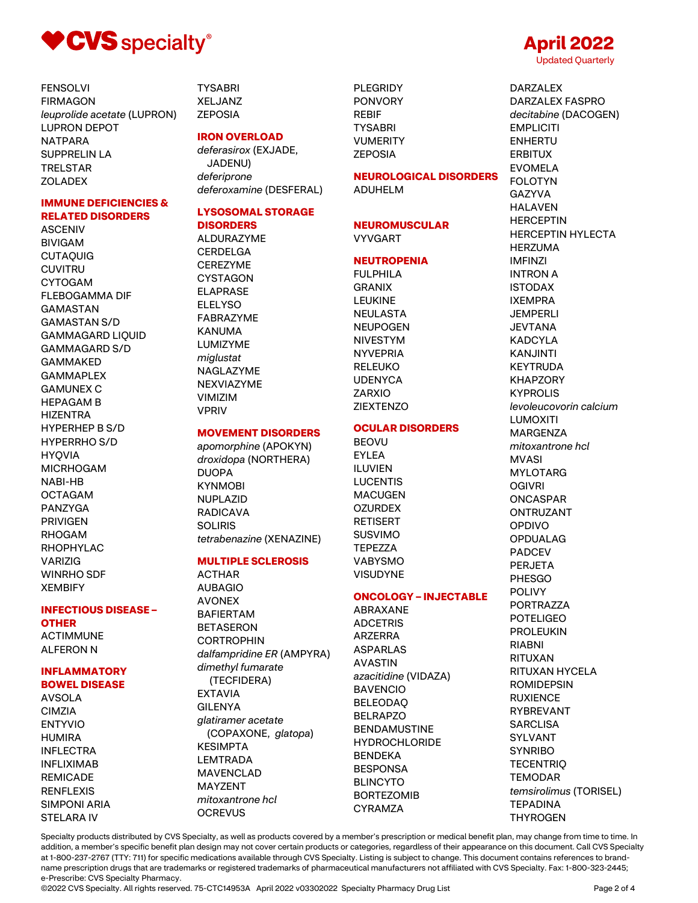

FENSOLVI FIRMAGON leuprolide acetate (LUPRON) LUPRON DEPOT NATPARA SUPPRELIN LA TRELSTAR **ZOLADEX** 

## IMMUNE DEFICIENCIES & RELATED DISORDERS

ASCENIV BIVIGAM CUTAQUIG **CUVITRU** CYTOGAM FLEBOGAMMA DIF GAMASTAN GAMASTAN S/D GAMMAGARD LIQUID GAMMAGARD S/D GAMMAKED GAMMAPLEX GAMUNEX C HEPAGAM B HIZENTRA HYPERHEP B S/D HYPERRHO S/D HYQVIA MICRHOGAM NABI-HB OCTAGAM PANZYGA PRIVIGEN RHOGAM RHOPHYLAC VARIZIG WINRHO SDF XEMBIFY

# INFECTIOUS DISEASE –

**OTHER** ACTIMMUNE ALFERON N

#### INFLAMMATORY BOWEL DISEASE

AVSOLA CIMZIA ENTYVIO **HUMIRA** INFLECTRA INFLIXIMAB REMICADE RENFLEXIS SIMPONI ARIA STELARA IV

**TYSABRI** XELJANZ ZEPOSIA

## IRON OVERLOAD

deferasirox (EXJADE, JADENU) deferiprone deferoxamine (DESFERAL)

#### LYSOSOMAL STORAGE **DISORDERS**

# ALDURAZYME

CERDELGA **CEREZYME CYSTAGON** ELAPRASE **ELELYSO** FABRAZYME KANUMA LUMIZYME miglustat NAGLAZYME NEXVIAZYME VIMIZIM VPRIV

#### MOVEMENT DISORDERS

apomorphine (APOKYN) droxidopa (NORTHERA) DUOPA **KYNMORI** NUPLAZID RADICAVA **SOLIRIS** tetrabenazine (XENAZINE)

### MULTIPLE SCLEROSIS

ACTHAR AUBAGIO **AVONEX** BAFIERTAM BETASERON CORTROPHIN dalfampridine ER (AMPYRA) dimethyl fumarate (TECFIDERA) EXTAVIA GILENYA glatiramer acetate (COPAXONE, glatopa) KESIMPTA LEMTRADA MAVENCLAD MAYZENT mitoxantrone hcl **OCREVUS** 

PLEGRIDY PONVORY REBIF **TYSABRI** VUMERITY ZEPOSIA

# NEUROLOGICAL DISORDERS

ADUHELM

# NEUROMUSCULAR VYVGART

# **NEUTROPENIA**

FULPHILA GRANIX LEUKINE NEULASTA NEUPOGEN NIVESTYM **NYVEPRIA** RELEUKO UDENYCA **ZARXIO ZIEXTENZO** 

## OCULAR DISORDERS

BEOVU EYLEA ILUVIEN **LUCENTIS MACUGEN OZURDEX** RETISERT SUSVIMO TEPEZZA VABYSMO **VISUDYNE** 

# ONCOLOGY – INJECTABLE

ABRAXANE ADCETRIS ARZERRA ASPARLAS AVASTIN azacitidine (VIDAZA) BAVENCIO BELEODAQ BELRAPZO BENDAMUSTINE **HYDROCHLORIDE** BENDEKA **BESPONSA** BLINCYTO BORTEZOMIB CYRAMZA

# Updated Quarterly DARZALEX DARZALEX FASPRO decitabine (DACOGEN) **EMPLICITI** ENHERTU ERBITUX

April 2022

EVOMELA FOLOTYN GAZYVA HALAVEN **HERCEPTIN** HERCEPTIN HYLECTA HERZUMA IMFINZI INTRON A ISTODAX IXEMPRA **JEMPERLI** JEVTANA KADCYLA KANJINTI KEYTRUDA KHAPZORY KYPROLIS levoleucovorin calcium LUMOXITI MARGENZA mitoxantrone hcl MVASI MYLOTARG OGIVRI **ONCASPAR** ONTRUZANT OPDIVO OPDUALAG PADCEV PERJETA PHESGO POLIVY PORTRAZZA POTELIGEO PROLEUKIN RIABNI RITUXAN RITUXAN HYCELA ROMIDEPSIN RUXIENCE RYBREVANT **SARCLISA** SYLVANT **SYNRIBO TECENTRIQ** TEMODAR temsirolimus (TORISEL) TEPADINA **THYROGEN** 

Specialty products distributed by CVS Specialty, as well as products covered by a member's prescription or medical benefit plan, may change from time to time. In addition, a member's specific benefit plan design may not cover certain products or categories, regardless of their appearance on this document. Call CVS Specialty at 1-800-237-2767 (TTY: 711) for specific medications available through CVS Specialty. Listing is subject to change. This document contains references to brandname prescription drugs that are trademarks or registered trademarks of pharmaceutical manufacturers not affiliated with CVS Specialty. Fax: 1-800-323-2445; e-Prescribe: CVS Specialty Pharmacy.

©2022 CVS Specialty. All rights reserved. 75-CTC14953A April 2022 v03302022 Specialty Pharmacy Drug List Page 2 of 4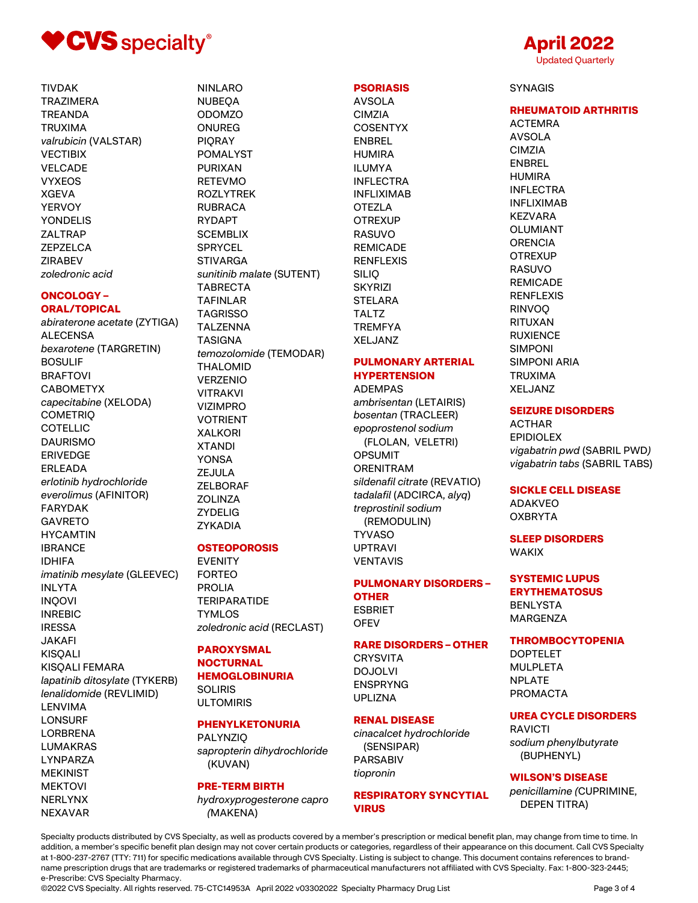

**TIVDAK TRAZIMERA TREANDA TRUXIMA** valrubicin (VALSTAR) **VECTIBIX VELCADE VYXEOS XGEVA YERVOY YONDELIS ZALTRAP ZEPZELCA ZIRABEV** zoledronic acid

# **ONCOLOGY-**

#### **ORAL/TOPICAL**

abiraterone acetate (ZYTIGA) **ALECENSA** bexarotene (TARGRETIN) **BOSULIF BRAFTOVI CABOMETYX** capecitabine (XELODA) **COMETRIO COTELLIC DAURISMO ERIVEDGE ERLEADA** erlotinib hydrochloride everolimus (AFINITOR) **FARYDAK GAVRETO HYCAMTIN IBRANCE IDHIFA** imatinib mesylate (GLEEVEC) **INLYTA INQOVI INREBIC IRESSA JAKAFI KISOALI KISQALI FEMARA** lapatinib ditosylate (TYKERB) lenalidomide (REVLIMID) **LENVIMA LONSURF LORBRENA LUMAKRAS LYNPARZA MEKINIST MEKTOVI NERLYNX NEXAVAR** 

# **NINLARO NUBEOA ODOMZO ONUREG PIORAY POMALYST PURIXAN RETEVMO ROZLYTREK RUBRACA RYDAPT SCEMBLIX SPRYCEL STIVARGA** sunitinib malate (SUTENT) **TABRECTA TAFINLAR TAGRISSO TALZENNA TASIGNA** temozolomide (TEMODAR) **THALOMID VERZENIO VITRAKVI VIZIMPRO VOTRIENT XALKORI XTANDI YONSA ZEJULA ZELBORAF ZOLINZA ZYDELIG** ZYKADIA

# **OSTEOPOROSIS**

**EVENITY FORTEO PROLIA TERIPARATIDE TYMLOS** zoledronic acid (RECLAST)

## **PAROXYSMAL NOCTURNAL**

**HEMOGLOBINURIA SOLIRIS ULTOMIRIS** 

#### **PHENYLKETONURIA**

**PALYNZIO** sapropterin dihydrochloride (KUVAN)

# **PRE-TERM BIRTH**

hydroxyprogesterone capro (MAKENA)

# **PSORIASIS**

**AVSOLA CIMZIA COSENTYX ENBREL HUMIRA ILUMYA INFLECTRA INFLIXIMAB OTEZLA OTREXUP RASUVO REMICADE RENFLEXIS SILIO SKYRIZI STELARA TALTZ TREMFYA XELJANZ** 

#### **PULMONARY ARTERIAL HYPERTENSION**

# **ADEMPAS**

ambrisentan (LETAIRIS) bosentan (TRACLEER) epoprostenol sodium (FLOLAN, VELETRI) **OPSUMIT ORENITRAM** sildenafil citrate (REVATIO) tadalafil (ADCIRCA, alyq) treprostinil sodium (REMODULIN) **TYVASO UPTRAVI VENTAVIS** 

# **PULMONARY DISORDERS -**

**OTHER ESBRIET OFEV** 

#### **RARE DISORDERS - OTHER**

**CRYSVITA DOJOLVI ENSPRYNG UPLIZNA** 

## **RENAL DISEASE**

cinacalcet hydrochloride (SENSIPAR) **PARSABIV** tiopronin

## **RESPIRATORY SYNCYTIAL VIRUS**

# April 2022 **Updated Quarterly**

**SYNAGIS** 

# **RHEUMATOID ARTHRITIS**

**ACTEMRA** AVSOLA **CIMZIA ENBREL HUMIRA INFLECTRA INFLIXIMAB KEZVARA** OLUMIANT **ORENCIA OTREXUP RASUVO REMICADE RENFLEXIS RINVOO RITUXAN RUXIENCE SIMPONI SIMPONI ARIA TRUXIMA XELJANZ** 

#### **SEIZURE DISORDERS**

**ACTHAR EPIDIOLEX** vigabatrin pwd (SABRIL PWD) vigabatrin tabs (SABRIL TABS)

# **SICKLE CELL DISEASE**

**ADAKVEO OXBRYTA** 

## **SLEEP DISORDERS WAKIX**

**SYSTEMIC LUPUS ERYTHEMATOSUS BENLYSTA MARGENZA** 

#### **THROMBOCYTOPENIA**

**DOPTELET MULPLETA NPLATE PROMACTA** 

# **UREA CYCLE DISORDERS**

**RAVICTI** sodium phenylbutyrate (BUPHENYL)

# **WILSON'S DISEASE**

penicillamine (CUPRIMINE, **DEPEN TITRA)** 

Specialty products distributed by CVS Specialty, as well as products covered by a member's prescription or medical benefit plan, may change from time to time. In addition, a member's specific benefit plan design may not cover certain products or categories, regardless of their appearance on this document. Call CVS Specialty at 1-800-237-2767 (TTY: 711) for specific medications available through CVS Specialty. Listing is subject to change. This document contains references to brandname prescription drugs that are trademarks or registered trademarks of pharmaceutical manufacturers not affiliated with CVS Specialty. Fax: 1-800-323-2445; e-Prescribe: CVS Specialty Pharmacy.

@2022 CVS Specialty. All rights reserved. 75-CTC14953A April 2022 v03302022 Specialty Pharmacy Drug List